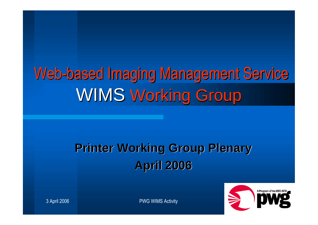# Web-based Imaging Management Service WIMS Working Group

### **Printer Working Group Plenary April 2006**



3 April 2006 **PWG WIMS Activity**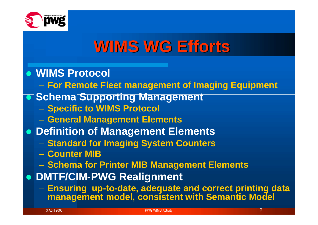

### **WIMS WG Efforts**

#### **WIMS Protocol**

- **For Remote Fleet management of Imaging Equipment**
- **Schema Supporting Management** 
	- **Specific to WIMS Protocol**
	- **General Management Elements**
- **Definition of Management Elements**
	- **Standard for Imaging System Counters**
	- **Counter MIB**
	- **Schema for Printer MIB Management Elements**
- **DMTF/CIM-PWG Realignment**
	- **Ensuring up-to-date, adequate and correct printing data management model, consistent with Semantic Model**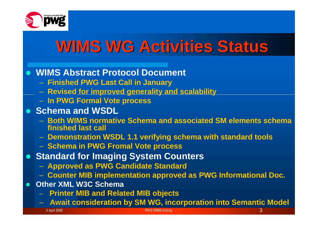

## **WIMS WG Activities Status**

**WIMS Abstract Protocol Document**

- **Finished PWG Last Call in January**
- **Revised for improved generality and scalability**
- **In PWG Formal Vote process**
- **Schema and WSDL** 
	- **Both WIMS normative Schema and associated SM elements schema finished last call**
	- **Demonstration WSDL 1.1 verifying schema with standard tools**
	- **Schema in PWG Fromal Vote process**
- **Standard for Imaging System Counters**
	- **Approved as PWG Candidate Standard**
	- **Counter MIB implementation approved as PWG Informational Doc.**
- **Other XML W3C Schema**
	- **Printer MIB and Related MIB objects**
	- **Await consideration by SM WG, incorporation into Semantic Model**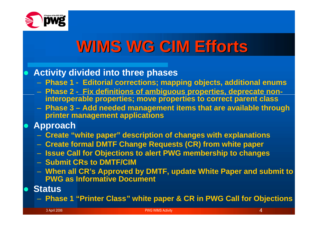

## **WIMS WG CIM Efforts**

#### **Activity divided into three phases**

- **Phase 1 - Editorial corrections; mapping objects, additional enums**
- **Phase 2 - Fix definitions of ambiguous properties, deprecate noninteroperable properties; move properties to correct parent class**
- **Phase 3 – Add needed management items that are available through printer management applications**
- **Approach**
	- **Create "white paper" description of changes with explanations**
	- **Create formal DMTF Change Requests (CR) from white paper**
	- **Issue Call for Objections to alert PWG membership to changes**
	- **Submit CRs to DMTF/CIM**
	- **When all CR's Approved by DMTF, update White Paper and submit to PWG as Informative Document**
- **Status**
	- **Phase 1 "Printer Class" white paper & CR in PWG Call for Objections**

3 April 2006 PWG WIMS Activity 4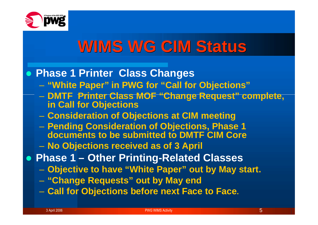

### **WIMS WG CIM Status**

#### **Phase 1 Printer Class Changes**

- **"White Paper" in PWG for "Call for Objections"**
- **DMTF Printer Class MOF "Change Request" complete, in Call for Objections**
- **Consideration of Objections at CIM meeting**
- **Pending Consideration of Objections, Phase 1 documents to be submitted to DMTF CIM Core**
- **No Objections received as of 3 April**
- **Phase 1 – Other Printing-Related Classes**
	- **Objective to have "White Paper" out by May start.**
	- **"Change Requests" out by May end**
	- **Call for Objections before next Face to Face.**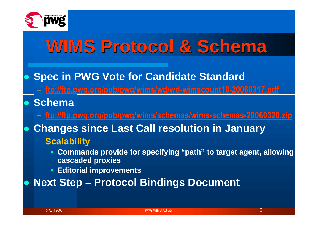

# **WIMS Protocol & Schema**

- **Spec in PWG Vote for Candidate Standard**
	- **ftp://ftp.pwg.org/pub/pwg/wims/wd/wd-wimscount10-20060317.pdf**
- **Schema**
	- **ftp://ftp.pwg.org/pub/pwg/wims/schemas/wims-schemas-20060320.zip**
- **Changes since Last Call resolution in January**
	- **Scalability**
		- **Commands provide for specifying "path" to target agent, allowing cascaded proxies**
		- **Editorial improvements**
- **Next Step – Protocol Bindings Document**